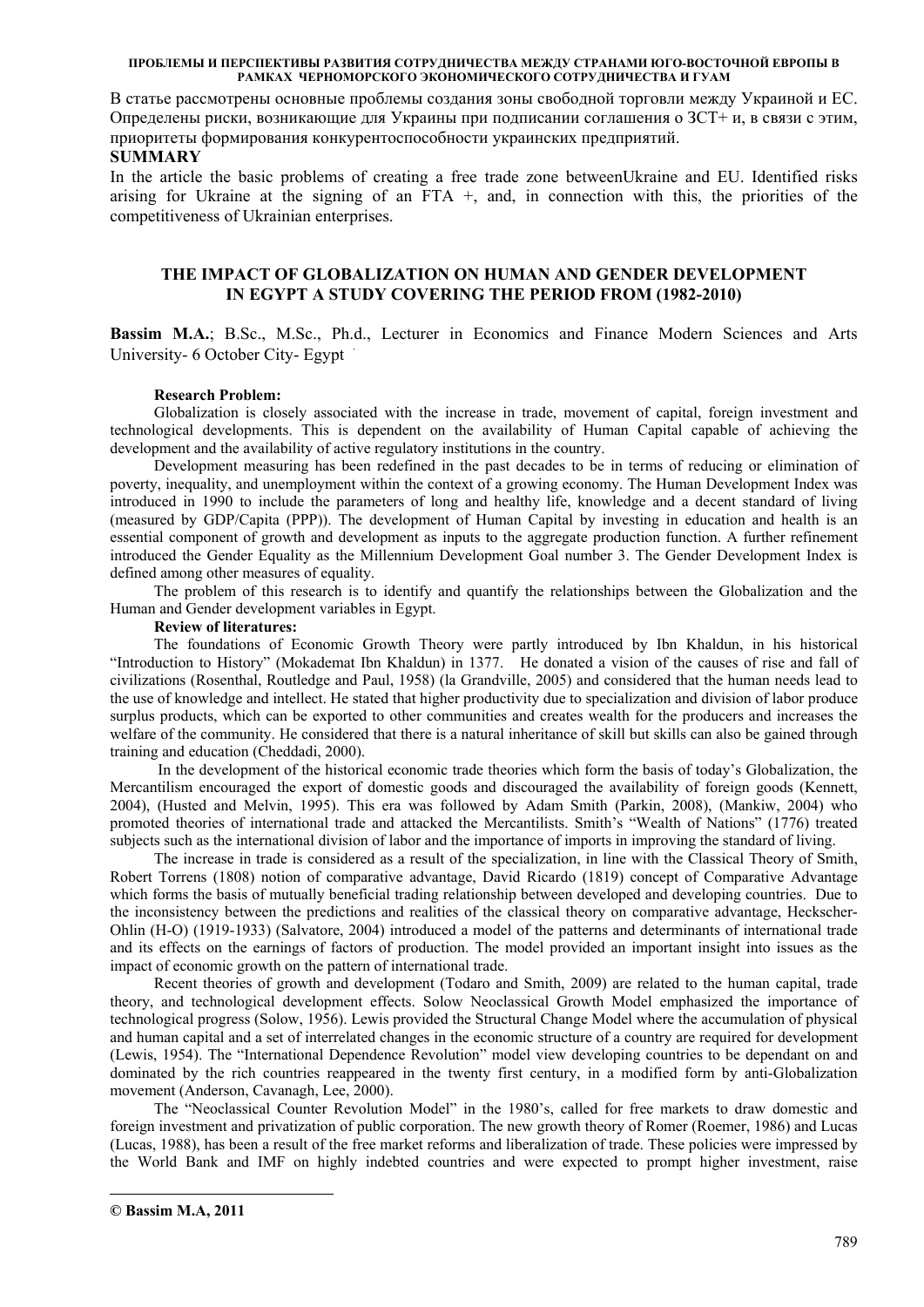В статье рассмотрены основные проблемы создания зоны свободной торговли между Украиной и ЕС. Определены риски, возникающие для Украины при подписании соглашения о ЗСТ+ и, в связи с этим, приоритеты формирования конкурентоспособности украинских предприятий.

### **SUMMARY**

In the article the basic problems of creating a free trade zone betweenUkraine and EU. Identified risks arising for Ukraine at the signing of an FTA +, and, in connection with this, the priorities of the competitiveness of Ukrainian enterprises.

### **THE IMPACT OF GLOBALIZATION ON HUMAN AND GENDER DEVELOPMENT IN EGYPT A STUDY COVERING THE PERIOD FROM (1982-2010)**

**Bassim M.A.**; B.Sc., M.Sc., Ph.d., Lecturer in Economics and Finance Modern Sciences and Arts University- 6 October City- Egypt

#### **Research Problem:**

Globalization is closely associated with the increase in trade, movement of capital, foreign investment and technological developments. This is dependent on the availability of Human Capital capable of achieving the development and the availability of active regulatory institutions in the country.

Development measuring has been redefined in the past decades to be in terms of reducing or elimination of poverty, inequality, and unemployment within the context of a growing economy. The Human Development Index was introduced in 1990 to include the parameters of long and healthy life, knowledge and a decent standard of living (measured by GDP/Capita (PPP)). The development of Human Capital by investing in education and health is an essential component of growth and development as inputs to the aggregate production function. A further refinement introduced the Gender Equality as the Millennium Development Goal number 3. The Gender Development Index is defined among other measures of equality.

The problem of this research is to identify and quantify the relationships between the Globalization and the Human and Gender development variables in Egypt.

#### **Review of literatures:**

The foundations of Economic Growth Theory were partly introduced by Ibn Khaldun, in his historical "Introduction to History" (Mokademat Ibn Khaldun) in 1377. He donated a vision of the causes of rise and fall of civilizations (Rosenthal, Routledge and Paul, 1958) (la Grandville, 2005) and considered that the human needs lead to the use of knowledge and intellect. He stated that higher productivity due to specialization and division of labor produce surplus products, which can be exported to other communities and creates wealth for the producers and increases the welfare of the community. He considered that there is a natural inheritance of skill but skills can also be gained through training and education (Cheddadi, 2000).

 In the development of the historical economic trade theories which form the basis of today's Globalization, the Mercantilism encouraged the export of domestic goods and discouraged the availability of foreign goods (Kennett, 2004), (Husted and Melvin, 1995). This era was followed by Adam Smith (Parkin, 2008), (Mankiw, 2004) who promoted theories of international trade and attacked the Mercantilists. Smith's "Wealth of Nations" (1776) treated subjects such as the international division of labor and the importance of imports in improving the standard of living.

The increase in trade is considered as a result of the specialization, in line with the Classical Theory of Smith, Robert Torrens (1808) notion of comparative advantage, David Ricardo (1819) concept of Comparative Advantage which forms the basis of mutually beneficial trading relationship between developed and developing countries. Due to the inconsistency between the predictions and realities of the classical theory on comparative advantage, Heckscher-Ohlin (H-O) (1919-1933) (Salvatore, 2004) introduced a model of the patterns and determinants of international trade and its effects on the earnings of factors of production. The model provided an important insight into issues as the impact of economic growth on the pattern of international trade.

Recent theories of growth and development (Todaro and Smith, 2009) are related to the human capital, trade theory, and technological development effects. Solow Neoclassical Growth Model emphasized the importance of technological progress (Solow, 1956). Lewis provided the Structural Change Model where the accumulation of physical and human capital and a set of interrelated changes in the economic structure of a country are required for development (Lewis, 1954). The "International Dependence Revolution" model view developing countries to be dependant on and dominated by the rich countries reappeared in the twenty first century, in a modified form by anti-Globalization movement (Anderson, Cavanagh, Lee, 2000).

The "Neoclassical Counter Revolution Model" in the 1980's, called for free markets to draw domestic and foreign investment and privatization of public corporation. The new growth theory of Romer (Roemer, 1986) and Lucas (Lucas, 1988), has been a result of the free market reforms and liberalization of trade. These policies were impressed by the World Bank and IMF on highly indebted countries and were expected to prompt higher investment, raise

-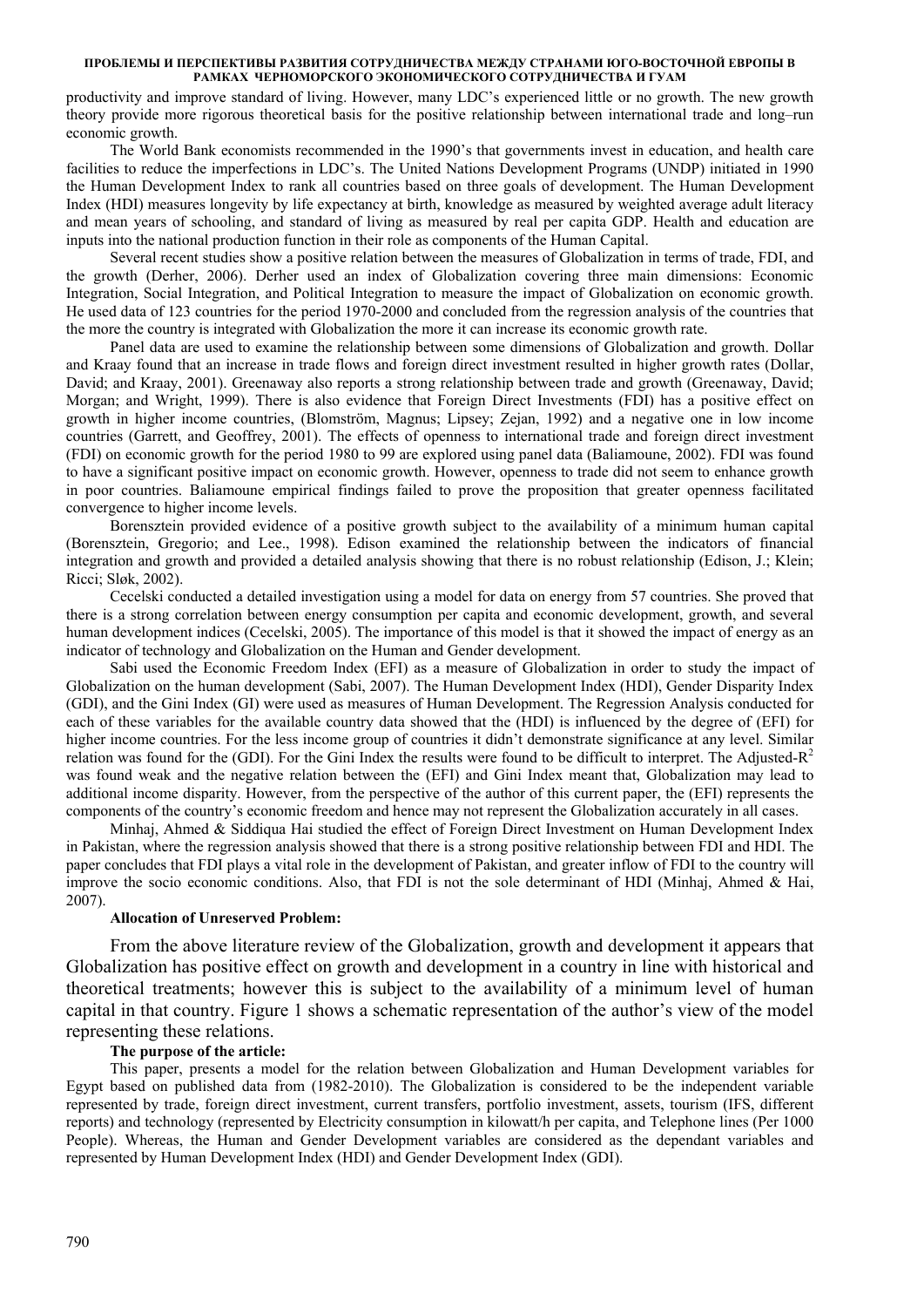productivity and improve standard of living. However, many LDC's experienced little or no growth. The new growth theory provide more rigorous theoretical basis for the positive relationship between international trade and long–run economic growth.

The World Bank economists recommended in the 1990's that governments invest in education, and health care facilities to reduce the imperfections in LDC's. The United Nations Development Programs (UNDP) initiated in 1990 the Human Development Index to rank all countries based on three goals of development. The Human Development Index (HDI) measures longevity by life expectancy at birth, knowledge as measured by weighted average adult literacy and mean years of schooling, and standard of living as measured by real per capita GDP. Health and education are inputs into the national production function in their role as components of the Human Capital.

Several recent studies show a positive relation between the measures of Globalization in terms of trade, FDI, and the growth (Derher, 2006). Derher used an index of Globalization covering three main dimensions: Economic Integration, Social Integration, and Political Integration to measure the impact of Globalization on economic growth. He used data of 123 countries for the period 1970-2000 and concluded from the regression analysis of the countries that the more the country is integrated with Globalization the more it can increase its economic growth rate.

Panel data are used to examine the relationship between some dimensions of Globalization and growth. Dollar and Kraay found that an increase in trade flows and foreign direct investment resulted in higher growth rates (Dollar, David; and Kraay, 2001). Greenaway also reports a strong relationship between trade and growth (Greenaway, David; Morgan; and Wright, 1999). There is also evidence that Foreign Direct Investments (FDI) has a positive effect on growth in higher income countries, (Blomström, Magnus; Lipsey; Zejan, 1992) and a negative one in low income countries (Garrett, and Geoffrey, 2001). The effects of openness to international trade and foreign direct investment (FDI) on economic growth for the period 1980 to 99 are explored using panel data (Baliamoune, 2002). FDI was found to have a significant positive impact on economic growth. However, openness to trade did not seem to enhance growth in poor countries. Baliamoune empirical findings failed to prove the proposition that greater openness facilitated convergence to higher income levels.

Borensztein provided evidence of a positive growth subject to the availability of a minimum human capital (Borensztein, Gregorio; and Lee., 1998). Edison examined the relationship between the indicators of financial integration and growth and provided a detailed analysis showing that there is no robust relationship (Edison, J.; Klein; Ricci; Sløk, 2002).

Cecelski conducted a detailed investigation using a model for data on energy from 57 countries. She proved that there is a strong correlation between energy consumption per capita and economic development, growth, and several human development indices (Cecelski, 2005). The importance of this model is that it showed the impact of energy as an indicator of technology and Globalization on the Human and Gender development.

Sabi used the Economic Freedom Index (EFI) as a measure of Globalization in order to study the impact of Globalization on the human development (Sabi, 2007). The Human Development Index (HDI), Gender Disparity Index (GDI), and the Gini Index (GI) were used as measures of Human Development. The Regression Analysis conducted for each of these variables for the available country data showed that the (HDI) is influenced by the degree of (EFI) for higher income countries. For the less income group of countries it didn't demonstrate significance at any level. Similar relation was found for the (GDI). For the Gini Index the results were found to be difficult to interpret. The Adjusted-R<sup>2</sup> was found weak and the negative relation between the (EFI) and Gini Index meant that, Globalization may lead to additional income disparity. However, from the perspective of the author of this current paper, the (EFI) represents the components of the country's economic freedom and hence may not represent the Globalization accurately in all cases.

Minhaj, Ahmed & Siddiqua Hai studied the effect of Foreign Direct Investment on Human Development Index in Pakistan, where the regression analysis showed that there is a strong positive relationship between FDI and HDI. The paper concludes that FDI plays a vital role in the development of Pakistan, and greater inflow of FDI to the country will improve the socio economic conditions. Also, that FDI is not the sole determinant of HDI (Minhaj, Ahmed & Hai, 2007).

#### **Allocation of Unreserved Problem:**

From the above literature review of the Globalization, growth and development it appears that Globalization has positive effect on growth and development in a country in line with historical and theoretical treatments; however this is subject to the availability of a minimum level of human capital in that country. Figure 1 shows a schematic representation of the author's view of the model representing these relations.

### **The purpose of the article:**

This paper, presents a model for the relation between Globalization and Human Development variables for Egypt based on published data from (1982-2010). The Globalization is considered to be the independent variable represented by trade, foreign direct investment, current transfers, portfolio investment, assets, tourism (IFS, different reports) and technology (represented by Electricity consumption in kilowatt/h per capita, and Telephone lines (Per 1000 People). Whereas, the Human and Gender Development variables are considered as the dependant variables and represented by Human Development Index (HDI) and Gender Development Index (GDI).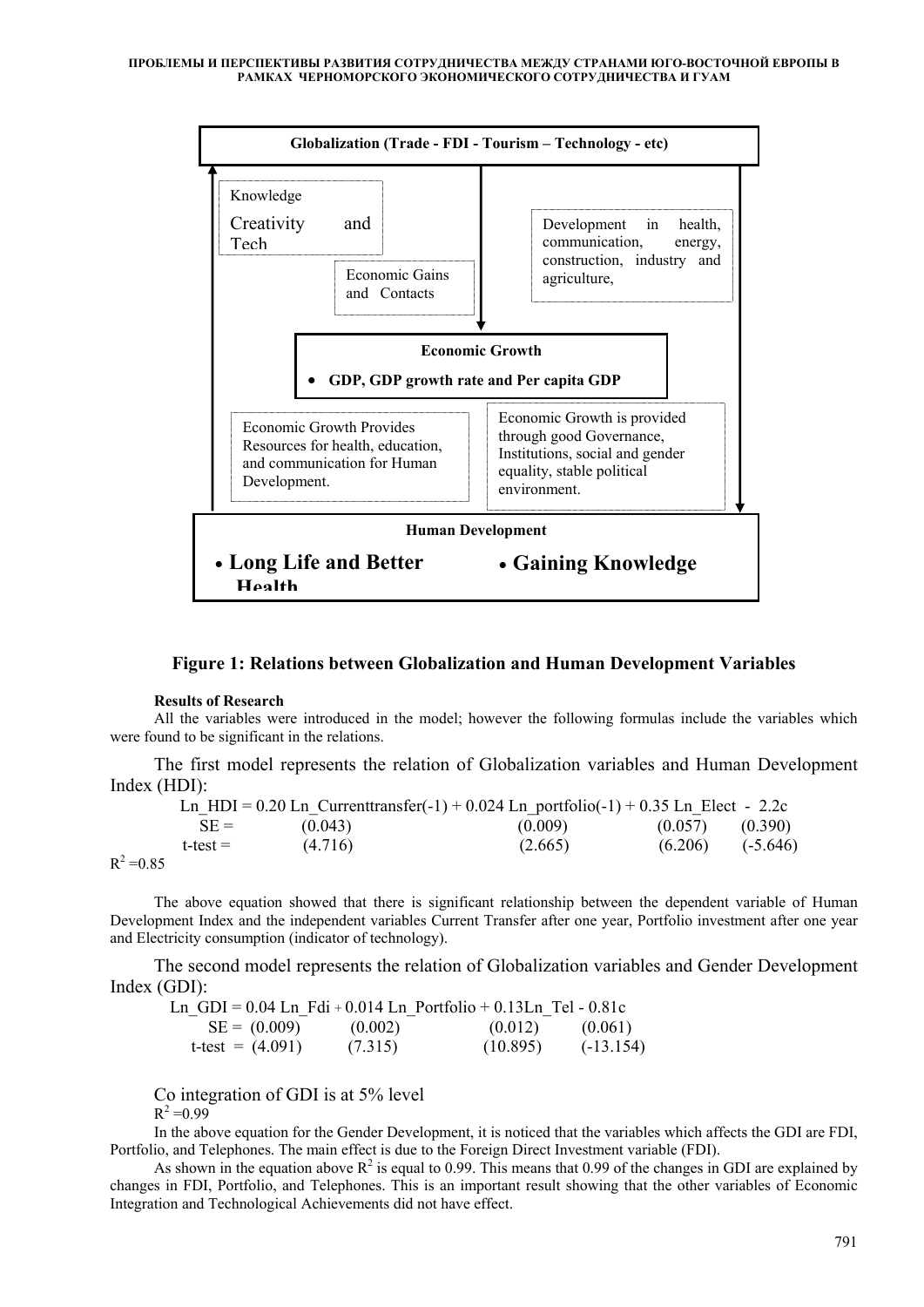

# **Figure 1: Relations between Globalization and Human Development Variables**

#### **Results of Research**

All the variables were introduced in the model; however the following formulas include the variables which were found to be significant in the relations.

The first model represents the relation of Globalization variables and Human Development Index (HDI):

|              |               |         | Ln HDI = $0.20$ Ln Current transfer(-1) + $0.024$ Ln portfolio(-1) + $0.35$ Ln Elect - 2.2c |         |            |
|--------------|---------------|---------|---------------------------------------------------------------------------------------------|---------|------------|
|              | $SE =$        | (0.043) | (0.009)                                                                                     | (0.057) | (0.390)    |
|              | $t$ -test $=$ | (4.716) | (2.665)                                                                                     | (6.206) | $(-5.646)$ |
| $R^2 = 0.85$ |               |         |                                                                                             |         |            |

The above equation showed that there is significant relationship between the dependent variable of Human Development Index and the independent variables Current Transfer after one year, Portfolio investment after one year and Electricity consumption (indicator of technology).

The second model represents the relation of Globalization variables and Gender Development Index (GDI):

| Ln GDI = $0.04$ Ln Fdi + $0.014$ Ln Portfolio + $0.13$ Ln Tel - $0.81c$ |         |          |             |
|-------------------------------------------------------------------------|---------|----------|-------------|
| $SE = (0.009)$                                                          | (0.002) | (0.012)  | (0.061)     |
| t-test = $(4.091)$                                                      | (7.315) | (10.895) | $(-13.154)$ |

Co integration of GDI is at 5% level

 $R^2 = 0.99$ 

In the above equation for the Gender Development, it is noticed that the variables which affects the GDI are FDI, Portfolio, and Telephones. The main effect is due to the Foreign Direct Investment variable (FDI).

As shown in the equation above  $R^2$  is equal to 0.99. This means that 0.99 of the changes in GDI are explained by changes in FDI, Portfolio, and Telephones. This is an important result showing that the other variables of Economic Integration and Technological Achievements did not have effect.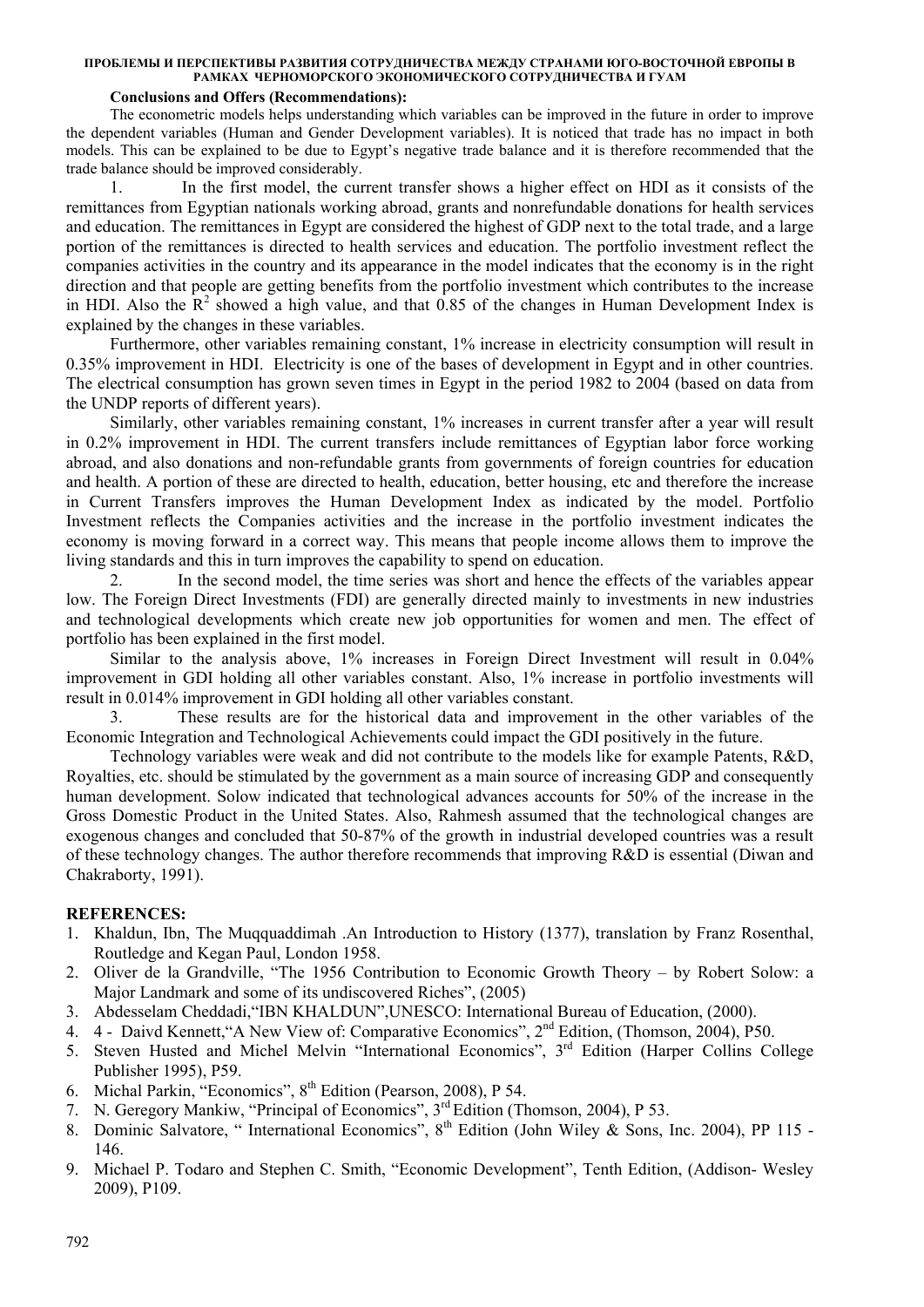# **Conclusions and Offers (Recommendations):**

The econometric models helps understanding which variables can be improved in the future in order to improve the dependent variables (Human and Gender Development variables). It is noticed that trade has no impact in both models. This can be explained to be due to Egypt's negative trade balance and it is therefore recommended that the trade balance should be improved considerably.

1. In the first model, the current transfer shows a higher effect on HDI as it consists of the remittances from Egyptian nationals working abroad, grants and nonrefundable donations for health services and education. The remittances in Egypt are considered the highest of GDP next to the total trade, and a large portion of the remittances is directed to health services and education. The portfolio investment reflect the companies activities in the country and its appearance in the model indicates that the economy is in the right direction and that people are getting benefits from the portfolio investment which contributes to the increase in HDI. Also the  $\mathbb{R}^2$  showed a high value, and that 0.85 of the changes in Human Development Index is explained by the changes in these variables.

Furthermore, other variables remaining constant, 1% increase in electricity consumption will result in 0.35% improvement in HDI. Electricity is one of the bases of development in Egypt and in other countries. The electrical consumption has grown seven times in Egypt in the period 1982 to 2004 (based on data from the UNDP reports of different years).

Similarly, other variables remaining constant, 1% increases in current transfer after a year will result in 0.2% improvement in HDI. The current transfers include remittances of Egyptian labor force working abroad, and also donations and non-refundable grants from governments of foreign countries for education and health. A portion of these are directed to health, education, better housing, etc and therefore the increase in Current Transfers improves the Human Development Index as indicated by the model. Portfolio Investment reflects the Companies activities and the increase in the portfolio investment indicates the economy is moving forward in a correct way. This means that people income allows them to improve the living standards and this in turn improves the capability to spend on education.

2. In the second model, the time series was short and hence the effects of the variables appear low. The Foreign Direct Investments (FDI) are generally directed mainly to investments in new industries and technological developments which create new job opportunities for women and men. The effect of portfolio has been explained in the first model.

Similar to the analysis above, 1% increases in Foreign Direct Investment will result in 0.04% improvement in GDI holding all other variables constant. Also, 1% increase in portfolio investments will result in 0.014% improvement in GDI holding all other variables constant.

3. These results are for the historical data and improvement in the other variables of the Economic Integration and Technological Achievements could impact the GDI positively in the future.

Technology variables were weak and did not contribute to the models like for example Patents, R&D, Royalties, etc. should be stimulated by the government as a main source of increasing GDP and consequently human development. Solow indicated that technological advances accounts for 50% of the increase in the Gross Domestic Product in the United States. Also, Rahmesh assumed that the technological changes are exogenous changes and concluded that 50-87% of the growth in industrial developed countries was a result of these technology changes. The author therefore recommends that improving R&D is essential (Diwan and Chakraborty, 1991).

# **REFERENCES:**

- 1. Khaldun, Ibn, The Muqquaddimah .An Introduction to History (1377), translation by Franz Rosenthal, Routledge and Kegan Paul, London 1958.
- 2. Oliver de la Grandville, "The 1956 Contribution to Economic Growth Theory by Robert Solow: a Major Landmark and some of its undiscovered Riches", (2005)
- 3. Abdesselam Cheddadi,"IBN KHALDUN",UNESCO: International Bureau of Education, (2000).
- 4. 4 Daivd Kennett,"A New View of: Comparative Economics", 2nd Edition, (Thomson, 2004), P50.
- 5. Steven Husted and Michel Melvin "International Economics", 3rd Edition (Harper Collins College Publisher 1995), P59.
- 6. Michal Parkin, "Economics", 8<sup>th</sup> Edition (Pearson, 2008), P 54.
- 7. N. Geregory Mankiw, "Principal of Economics", 3rd Edition (Thomson, 2004), P 53.
- 8. Dominic Salvatore, " Interpational Economics", 8<sup>th</sup> Edition (John Wiley & Sons, Inc. 2004), PP 115 -146.
- 9. Michael P. Todaro and Stephen C. Smith, "Economic Development", Tenth Edition, (Addison- Wesley 2009), P109.